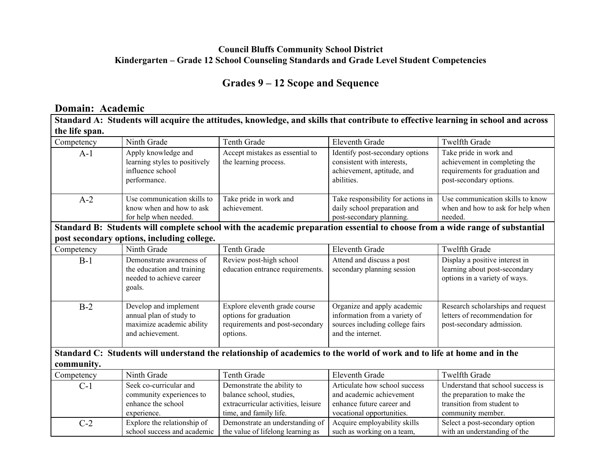## **Council Bluffs Community School District Kindergarten – Grade 12 School Counseling Standards and Grade Level Student Competencies**

# **Grades 9 – 12 Scope and Sequence**

#### **Domain: Academic**

| Standard A: Students will acquire the attitudes, knowledge, and skills that contribute to effective learning in school and across |                                                                                                   |                                                                                                                              |                                                                                                                      |                                                                                                                       |
|-----------------------------------------------------------------------------------------------------------------------------------|---------------------------------------------------------------------------------------------------|------------------------------------------------------------------------------------------------------------------------------|----------------------------------------------------------------------------------------------------------------------|-----------------------------------------------------------------------------------------------------------------------|
| the life span.                                                                                                                    |                                                                                                   |                                                                                                                              |                                                                                                                      |                                                                                                                       |
| Competency                                                                                                                        | Ninth Grade                                                                                       | Tenth Grade                                                                                                                  | <b>Eleventh Grade</b>                                                                                                | <b>Twelfth Grade</b>                                                                                                  |
| $A-1$                                                                                                                             | Apply knowledge and<br>learning styles to positively<br>influence school<br>performance.          | Accept mistakes as essential to<br>the learning process.                                                                     | Identify post-secondary options<br>consistent with interests,<br>achievement, aptitude, and<br>abilities.            | Take pride in work and<br>achievement in completing the<br>requirements for graduation and<br>post-secondary options. |
| $A-2$                                                                                                                             | Use communication skills to<br>know when and how to ask<br>for help when needed.                  | Take pride in work and<br>achievement.                                                                                       | Take responsibility for actions in<br>daily school preparation and<br>post-secondary planning.                       | Use communication skills to know<br>when and how to ask for help when<br>needed.                                      |
|                                                                                                                                   |                                                                                                   | Standard B: Students will complete school with the academic preparation essential to choose from a wide range of substantial |                                                                                                                      |                                                                                                                       |
|                                                                                                                                   | post secondary options, including college.                                                        |                                                                                                                              |                                                                                                                      |                                                                                                                       |
| Competency                                                                                                                        | Ninth Grade                                                                                       | <b>Tenth Grade</b>                                                                                                           | <b>Eleventh Grade</b>                                                                                                | <b>Twelfth Grade</b>                                                                                                  |
| $B-1$                                                                                                                             | Demonstrate awareness of<br>the education and training<br>needed to achieve career<br>goals.      | Review post-high school<br>education entrance requirements.                                                                  | Attend and discuss a post<br>secondary planning session                                                              | Display a positive interest in<br>learning about post-secondary<br>options in a variety of ways.                      |
| $B-2$                                                                                                                             | Develop and implement<br>annual plan of study to<br>maximize academic ability<br>and achievement. | Explore eleventh grade course<br>options for graduation<br>requirements and post-secondary<br>options.                       | Organize and apply academic<br>information from a variety of<br>sources including college fairs<br>and the internet. | Research scholarships and request<br>letters of recommendation for<br>post-secondary admission.                       |
|                                                                                                                                   |                                                                                                   | Standard C: Students will understand the relationship of academics to the world of work and to life at home and in the       |                                                                                                                      |                                                                                                                       |
| community.                                                                                                                        |                                                                                                   |                                                                                                                              |                                                                                                                      |                                                                                                                       |
| Competency                                                                                                                        | Ninth Grade                                                                                       | <b>Tenth Grade</b>                                                                                                           | <b>Eleventh Grade</b>                                                                                                | <b>Twelfth Grade</b>                                                                                                  |
| $C-1$                                                                                                                             | Seek co-curricular and<br>community experiences to<br>enhance the school<br>experience.           | Demonstrate the ability to<br>balance school, studies,<br>extracurricular activities, leisure<br>time, and family life.      | Articulate how school success<br>and academic achievement<br>enhance future career and<br>vocational opportunities.  | Understand that school success is<br>the preparation to make the<br>transition from student to<br>community member.   |
| $C-2$                                                                                                                             | Explore the relationship of<br>school success and academic                                        | Demonstrate an understanding of<br>the value of lifelong learning as                                                         | Acquire employability skills<br>such as working on a team,                                                           | Select a post-secondary option<br>with an understanding of the                                                        |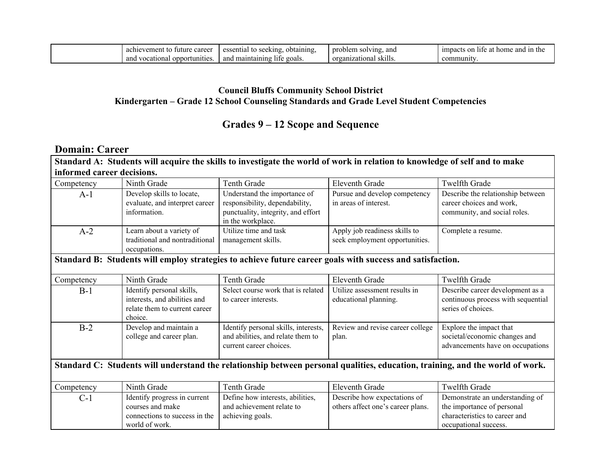| career<br>achievement<br>tο<br>future            | essential<br>obtaining<br>seeking<br>- 133 | nr<br>roblem<br>. and<br>solving.           | n the<br>impacts on<br>™ home<br>ano<br>lite.<br>`ai |
|--------------------------------------------------|--------------------------------------------|---------------------------------------------|------------------------------------------------------|
| and<br>∩nn∩<br>vocationa<br>rtunitie<br>,,,,,,,, | maintaining<br>goals.<br>and<br>life       | $\ddotsc$<br>organizational<br><b>SK1HS</b> | community                                            |

#### **Council Bluffs Community School District Kindergarten – Grade 12 School Counseling Standards and Grade Level Student Competencies**

# **Grades 9 – 12 Scope and Sequence**

## **Domain: Career**

#### Standard A: Students will acquire the skills to investigate the world of work in relation to knowledge of self and to make **informed career decisions.**

| Competency | Ninth Grade                                                                 | Tenth Grade                                                                                                               | Eleventh Grade                                                  | Twelfth Grade                                                                                 |
|------------|-----------------------------------------------------------------------------|---------------------------------------------------------------------------------------------------------------------------|-----------------------------------------------------------------|-----------------------------------------------------------------------------------------------|
| A-1        | Develop skills to locate,<br>evaluate, and interpret career<br>information. | Understand the importance of<br>responsibility, dependability,<br>punctuality, integrity, and effort<br>in the workplace. | Pursue and develop competency<br>in areas of interest.          | Describe the relationship between<br>career choices and work,<br>community, and social roles. |
| $A-2$      | Learn about a variety of<br>traditional and nontraditional<br>occupations.  | Utilize time and task<br>management skills.                                                                               | Apply job readiness skills to<br>seek employment opportunities. | Complete a resume.                                                                            |

#### **Standard B: Students will employ strategies to achieve future career goals with success and satisfaction.**

| Competency | Ninth Grade                                                                                           | Tenth Grade                                                                                          | Eleventh Grade                                         | <b>Twelfth Grade</b>                                                                         |
|------------|-------------------------------------------------------------------------------------------------------|------------------------------------------------------------------------------------------------------|--------------------------------------------------------|----------------------------------------------------------------------------------------------|
| $B-1$      | Identify personal skills,<br>interests, and abilities and<br>relate them to current career<br>choice. | Select course work that is related<br>to career interests.                                           | Utilize assessment results in<br>educational planning. | Describe career development as a<br>continuous process with sequential<br>series of choices. |
| $B-2$      | Develop and maintain a<br>college and career plan.                                                    | Identify personal skills, interests,<br>and abilities, and relate them to<br>current career choices. | Review and revise career college<br>plan.              | Explore the impact that<br>societal/economic changes and<br>advancements have on occupations |

# Standard C: Students will understand the relationship between personal qualities, education, training, and the world of work.

| Competency | Ninth Grade                   | Tenth Grade                      | Eleventh Grade                    | <b>Twelfth Grade</b>            |
|------------|-------------------------------|----------------------------------|-----------------------------------|---------------------------------|
| C-1        | Identify progress in current  | Define how interests, abilities, | Describe how expectations of      | Demonstrate an understanding of |
|            | courses and make              | and achievement relate to        | others affect one's career plans. | the importance of personal      |
|            | connections to success in the | achieving goals.                 |                                   | characteristics to career and   |
|            | world of work.                |                                  |                                   | occupational success.           |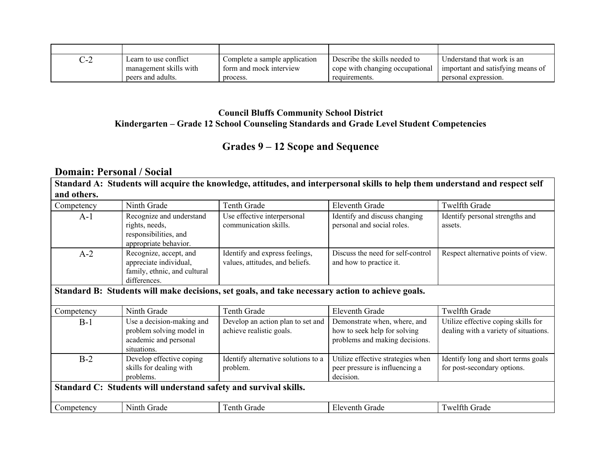| C-2 | Learn to use conflict  | Complete a sample application | Describe the skills needed to   | Understand that work is an        |
|-----|------------------------|-------------------------------|---------------------------------|-----------------------------------|
|     | management skills with | form and mock interview       | cope with changing occupational | important and satisfying means of |
|     | peers and adults.      | process.                      | requirements.                   | personal expression.              |

## **Council Bluffs Community School District Kindergarten – Grade 12 School Counseling Standards and Grade Level Student Competencies**

# **Grades 9 – 12 Scope and Sequence**

## **Domain: Personal / Social**

Standard A: Students will acquire the knowledge, attitudes, and interpersonal skills to help them understand and respect self **and others.**

| Competency                                                       | Ninth Grade                                                                                      | <b>Tenth Grade</b>                                                | Eleventh Grade                                                                                 | Twelfth Grade                                                                |  |
|------------------------------------------------------------------|--------------------------------------------------------------------------------------------------|-------------------------------------------------------------------|------------------------------------------------------------------------------------------------|------------------------------------------------------------------------------|--|
| $A-1$                                                            | Recognize and understand<br>rights, needs,<br>responsibilities, and<br>appropriate behavior.     | Use effective interpersonal<br>communication skills.              | Identify and discuss changing<br>personal and social roles.                                    | Identify personal strengths and<br>assets.                                   |  |
| $A-2$                                                            | Recognize, accept, and<br>appreciate individual,<br>family, ethnic, and cultural<br>differences. | Identify and express feelings,<br>values, attitudes, and beliefs. | Discuss the need for self-control<br>and how to practice it.                                   | Respect alternative points of view.                                          |  |
|                                                                  | Standard B: Students will make decisions, set goals, and take necessary action to achieve goals. |                                                                   |                                                                                                |                                                                              |  |
| Competency                                                       | Ninth Grade                                                                                      | Tenth Grade                                                       | <b>Eleventh Grade</b>                                                                          | <b>Twelfth Grade</b>                                                         |  |
| $B-1$                                                            | Use a decision-making and<br>problem solving model in<br>academic and personal<br>situations.    | Develop an action plan to set and<br>achieve realistic goals.     | Demonstrate when, where, and<br>how to seek help for solving<br>problems and making decisions. | Utilize effective coping skills for<br>dealing with a variety of situations. |  |
| $B-2$                                                            | Develop effective coping<br>skills for dealing with<br>problems.                                 | Identify alternative solutions to a<br>problem.                   | Utilize effective strategies when<br>peer pressure is influencing a<br>decision.               | Identify long and short terms goals<br>for post-secondary options.           |  |
| Standard C: Students will understand safety and survival skills. |                                                                                                  |                                                                   |                                                                                                |                                                                              |  |
| Competency                                                       | Ninth Grade                                                                                      | <b>Tenth Grade</b>                                                | <b>Eleventh Grade</b>                                                                          | <b>Twelfth Grade</b>                                                         |  |
|                                                                  |                                                                                                  |                                                                   |                                                                                                |                                                                              |  |